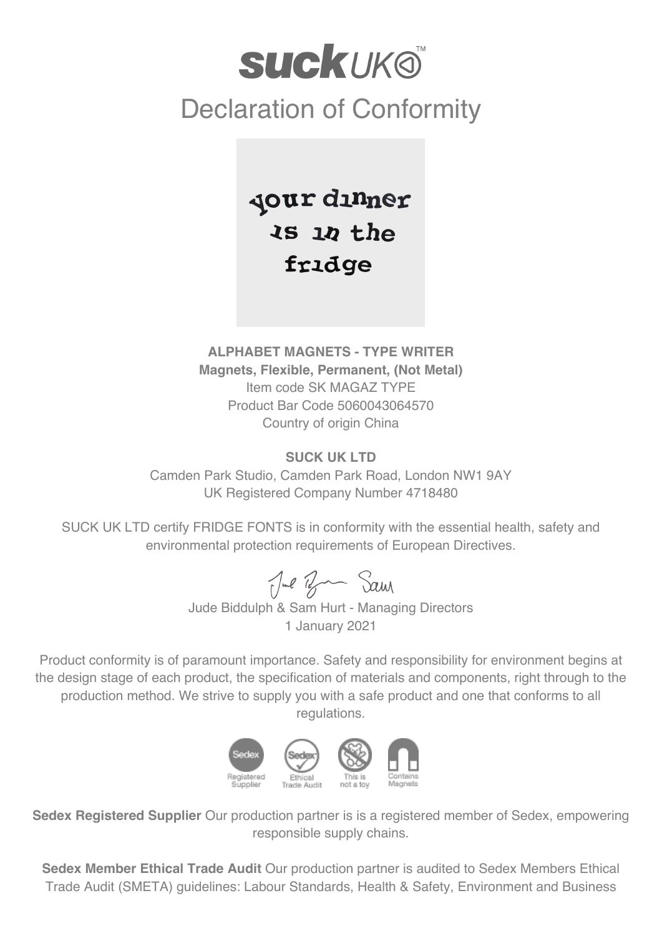## **SUCKUKO** Declaration of Conformity

Jour dinner  $35 10$  the fridge

## **ALPHABET MAGNETS - TYPE WRITER Magnets, Flexible, Permanent, (Not Metal)** Item code SK MAGAZ TYPE Product Bar Code 5060043064570 Country of origin China

## **SUCK UK LTD**

Camden Park Studio, Camden Park Road, London NW1 9AY UK Registered Company Number 4718480

SUCK UK LTD certify FRIDGE FONTS is in conformity with the essential health, safety and environmental protection requirements of European Directives.

Jul Br Sam

Jude Biddulph & Sam Hurt - Managing Directors 1 January 2021

Product conformity is of paramount importance. Safety and responsibility for environment begins at the design stage of each product, the specification of materials and components, right through to the production method. We strive to supply you with a safe product and one that conforms to all regulations.



**Sedex Registered Supplier** Our production partner is is a registered member of Sedex, empowering responsible supply chains.

**Sedex Member Ethical Trade Audit** Our production partner is audited to Sedex Members Ethical Trade Audit (SMETA) guidelines: Labour Standards, Health & Safety, Environment and Business